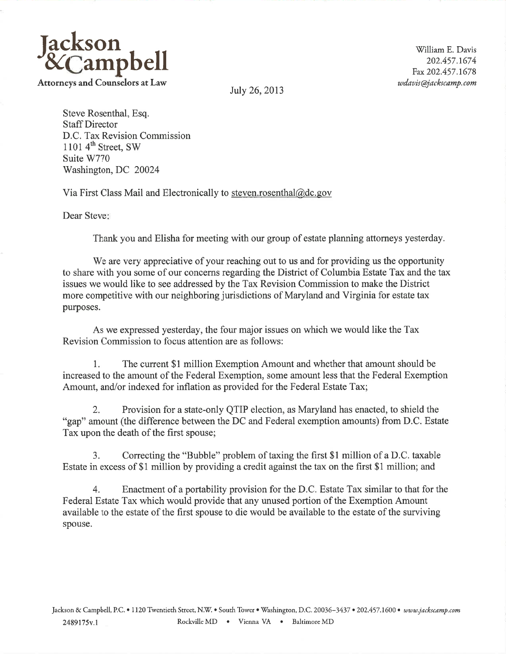

Steve Rosenthal, Esq. Staff Director D.C. Tax Revision Commission 1101 $4<sup>th</sup>$  Street, SW Suite W770 Washington, DC <sup>20024</sup>

Via First Class Mail and Electronically to steven.rosenthal@dc.gov

Dear Steve:

Thank you and Elisha for meeting with our group of estate planning attorneys yesterday.

We are very appreciative of your reaching out to us and for providing us the opportunity to share with you some of our concerns regarding the District of Columbia Estate Tax and the tax issues we would like to see addressed by the Tax Revision Commission to make the District more competitive with our neighboring jurisdictions of Maryland and Virginia for estate tax purposes.

As we expressed yesterday, the four major issues on which we would like the Tax Revision Commission to focus attention are as follows:

1. The current \$l million Exemption Amount and whether that amount should be increased to the amount of the Federal Exemption, some amount less that the Federal Exemption Amount, and/or indexed for inflation as provided for the Federal Estate Tax;

2. Provision for a state-only QTIP election, as Maryland has enacted, to shield the "gap" amount (the difference between the DC and Federal exemption amounts) from D.C. Estate Tax upon the death of the first spouse;

3. Correcting the "Bubble" problem of taxing the first \$1 million of a D.C. taxable Estate in excess of \$1 million by providing a credit against the tax on the first \$1 million; and

4. Enactment of a portability provision for the D.C. Estate Tax similar to that for the Federal Estate Tax which would provide that any unused portion of the Exemption Amount available to the estate of the first spouse to die would be available to the estate of the surviving spouse.